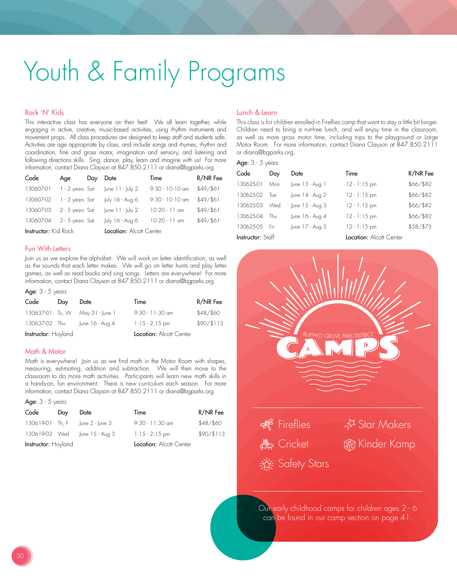# Youth & Family Programs

## Rock 'N' Kids

This interactive class has everyone on their feet! We all learn together, while engaging in active, creative, music-based activities, using rhythm instruments and movement props. All class procedures are designed to keep staff and students safe. Activities are age appropriate by class, and include songs and rhymes, rhythm and coordination, fine and gross motor, imagination and sensory, and listening and following directions skills. Sing, dance, play, learn and imagine with us! For more information, contact Diana Clayson at 847.850.2111 or diana@bgparks.org.

| Code                        | Age                     | Day | Date               | Time              | R/NR Fee  |
|-----------------------------|-------------------------|-----|--------------------|-------------------|-----------|
| 130607-01                   | 1 - 2 years Sat         |     | June $11 -$ July 2 | $9:30 - 10:10$ am | \$49/\$61 |
| 130607-02                   | 1 - 2 years Sat         |     | July 16 - Aug 6    | $9:30 - 10:10$ am | \$49/\$61 |
| 130607-03                   | 2 - 5 years Sat         |     | $ une 11 -  ub 2 $ | $10:20 - 11$ am   | \$49/\$61 |
| 130607-04                   | 2 - 5 years Sat         |     | July 16 - Aug 6    | $10:20 - 11$ am   | \$49/\$61 |
| <b>Instructor:</b> Kid Rock | Location: Alcott Center |     |                    |                   |           |

#### Fun With Letters

Join us as we explore the alphabet. We will work on letter identification, as well as the sounds that each letter makes. We will go on letter hunts and play letter games, as well as read books and sing songs. Letters are everywhere! For more information, contact Diana Clayson at 847.850.2111 or diana@bgparks.org.

#### Age:  $3 - 5$  years

| Code                       | Dav | Date                            | Time                    | R/NR Fee   |
|----------------------------|-----|---------------------------------|-------------------------|------------|
|                            |     | 130637-01 Tu, W May 31 - June 1 | $9:30 - 11:30$ am       | \$48/\$60  |
| 130637-02 Thu              |     | June $16 - Aug 4$               | $1:15 - 2:15$ pm        | \$90/\$113 |
| <b>Instructor:</b> Hoyland |     |                                 | Location: Alcott Center |            |

#### Math & Motor

Math is everywhere! Join us as we find math in the Motor Room with shapes, measuring, estimating, addition and subtraction. We will then move to the classroom to do more math activities. Participants will learn new math skills in a hands-on, fun environment. There is new curriculum each season. For more information, contact Diana Clayson at 847.850.2111 or diana@bgparks.org.

| Age: $3 - 5$ years  |     |                 |                         |            |  |
|---------------------|-----|-----------------|-------------------------|------------|--|
| Code                | Day | Date            | Time                    | R/NR Fee   |  |
| 130619-01 Th. F     |     | June 2 - June 3 | $9:30 - 11:30$ am       | \$48/\$60  |  |
| 130619-02 Wed       |     | June 15 - Aug 3 | $1:15 - 2:15$ pm        | \$90/\$113 |  |
| Instructor: Hoyland |     |                 | Location: Alcott Center |            |  |

#### Lunch & Learn

This class is for children enrolled in Fireflies camp that want to stay a little bit longer. Children need to bring a nut-free lunch, and will enjoy time in the classroom, as well as more gross motor time, including trips to the playground or Large Motor Room. For more information, contact Diana Clayson at 847.850.2111 or diana@bgparks.org.

#### Age:  $3 - 5$  years

| Code              | Day  | Date              | Time                    | R/NR Fee  |
|-------------------|------|-------------------|-------------------------|-----------|
| 130625-01         | Mon  | $ une 13 - Aug 1$ | $12 - 1:15$ pm          | \$66/\$82 |
| 130625-02         | Tue  | June 14 - Aug 2   | $12 - 1:15$ pm          | \$66/\$82 |
| 130625-03         | Wed  | June 15 - Aug 3   | $12 - 1:15$ pm          | \$66/\$82 |
| 13062504          | Thu. | June 16 - Aug 4   | $12 - 1:15$ pm          | \$66/\$82 |
| 130625-05 Fri     |      | June 17 - Aug 5   | $12 - 1:15$ pm          | \$58/\$73 |
| Instructor: Staff |      |                   | Location: Alcott Center |           |



Our early childhood camps for children ages 2 - 6 can be found in our camp section on page 41.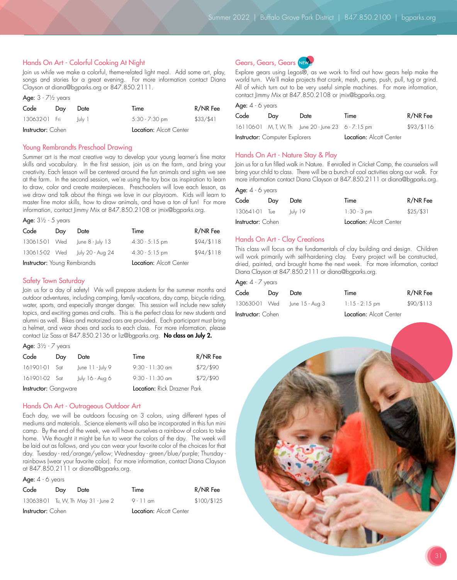## Hands On Art - Colorful Cooking At Night

Join us while we make a colorful, theme-related light meal. Add some art, play, songs and stories for a great evening. For more information contact Diana Clayson at diana@bgparks.org or 847.850.2111.

| Age: $3 - 7\frac{1}{2}$ years |     |        |                         |           |
|-------------------------------|-----|--------|-------------------------|-----------|
| Code                          | Day | Date   | Time                    | R/NR Fee  |
| 130632-01 Fri                 |     | lulv 1 | $5:30 - 7:30$ pm        | \$33/\$41 |
| <b>Instructor:</b> Cohen      |     |        | Location: Alcott Center |           |

## Young Rembrandts Preschool Drawing

Summer art is the most creative way to develop your young learner's fine motor skills and vocabulary. In the first session, join us on the farm, and bring your creativity. Each lesson will be centered around the fun animals and sights we see at the farm. In the second session, we're using the toy box as inspiration to learn to draw, color and create masterpieces. Preschoolers will love each lesson, as we draw and talk about the things we love in our playroom. Kids will learn to master fine motor skills, how to draw animals, and have a ton of fun! For more information, contact Jimmy Mix at 847.850.2108 or jmix@bgparks.org.

| Age: $3\frac{1}{2}$ - 5 years       |     |                                |                  |            |  |
|-------------------------------------|-----|--------------------------------|------------------|------------|--|
| Code                                | Day | Date                           | Time             | $R/NR$ Fee |  |
|                                     |     | 130615-01 Wed June 8 - July 13 | $4:30 - 5:15$ pm | \$94/\$118 |  |
|                                     |     | 130615-02 Wed July 20 - Aug 24 | $4:30 - 5:15$ pm | \$94/\$118 |  |
| <b>Instructor:</b> Young Rembrandts |     | Location: Alcott Center        |                  |            |  |

## Safety Town Saturday

Join us for a day of safety! We will prepare students for the summer months and outdoor adventures, including camping, family vacations, day camp, bicycle riding, water, sports, and especially stranger danger. This session will include new safety topics, and exciting games and crafts. This is the perfect class for new students and alumni as well. Bikes and motorized cars are provided. Each participant must bring a helmet, and wear shoes and socks to each class. For more information, please contact Liz Sass at 847.850.2136 or liz@bgparks.org. No class on July 2.

| <b>Age:</b> 3½ - 7 |  |  | vears |
|--------------------|--|--|-------|
|--------------------|--|--|-------|

| Code                        | Day | Date                               | Time              | R/NR Fee  |
|-----------------------------|-----|------------------------------------|-------------------|-----------|
| 161901-01 Sat               |     | June $11 - \frac{1}{2}$ July 9     | $9:30 - 11:30$ am | \$72/\$90 |
| 161901-02 Sat               |     | July 16 - Aug 6                    | $9:30 - 11:30$ am | \$72/\$90 |
| <b>Instructor:</b> Gangware |     | <b>Location:</b> Rick Drazner Park |                   |           |

### Hands On Art - Outrageous Outdoor Art

Each day, we will be outdoors focusing on 3 colors, using different types of mediums and materials. Science elements will also be incorporated in this fun mini camp. By the end of the week, we will have ourselves a rainbow of colors to take home. We thought it might be fun to wear the colors of the day. The week will be laid out as follows, and you can wear your favorite color of the choices for that day. Tuesday - red/orange/yellow; Wednesday - green/blue/purple; Thursday rainbows (wear your favorite color). For more information, contact Diana Clayson at 847.850.2111 or diana@bgparks.org.

Age: 4 - 6 years

| Code                     | Day | Date                                | Time                    | R/NR Fee  |
|--------------------------|-----|-------------------------------------|-------------------------|-----------|
|                          |     | 130638-01 Tu, W, Th May 31 - June 2 | 9 - 11 am               | \$100/125 |
| <b>Instructor:</b> Cohen |     |                                     | Location: Alcott Center |           |



Explore gears using Legos®, as we work to find out how gears help make the world turn. We'll make projects that crank, mesh, pump, push, pull, tug or grind. All of which turn out to be very useful simple machines. For more information, contact Jimmy Mix at 847.850.2108 or jmix@bgparks.org.

### Age: 4 - 6 years

| Code                                  | Dav | Date                                                | Time                    | R/NR Fee   |
|---------------------------------------|-----|-----------------------------------------------------|-------------------------|------------|
|                                       |     | 161106-01 M, T, W, Th June 20 - June 23 6 - 7:15 pm |                         | \$93/\$116 |
| <b>Instructor:</b> Computer Explorers |     |                                                     | Location: Alcott Center |            |

### Hands On Art - Nature Stay & Play

Join us for a fun filled walk in Nature. If enrolled in Cricket Camp, the counselors will bring your child to class. There will be a bunch of cool activities along our walk. For more information contact Diana Clayson at 847.850.2111 or diana@bgparks.org.

| <b>Age:</b> 4 - 6 years  |     |         |                         |             |  |
|--------------------------|-----|---------|-------------------------|-------------|--|
| Code                     | Dav | Date    | Time                    | R/NR Fee    |  |
| 130641-01 Tue            |     | luly 19 | $1:30 - 3$ pm           | $$25/$ \$31 |  |
| <b>Instructor:</b> Cohen |     |         | Location: Alcott Center |             |  |

### Hands On Art - Clay Creations

This class will focus on the fundamentals of clay building and design. Children will work primarily with self-hardening clay. Every project will be constructed, dried, painted, and brought home the next week. For more information, contact Diana Clayson at 847.850.2111 or diana@bgparks.org.

#### Age:  $4 - 7$  years

| Code                     | Day | Date                          | Time                    | $R/NR$ Fee |
|--------------------------|-----|-------------------------------|-------------------------|------------|
|                          |     | 130630-01 Wed June 15 - Aug 3 | $1:15 - 2:15$ pm        | \$90/\$113 |
| <b>Instructor:</b> Cohen |     |                               | Location: Alcott Center |            |